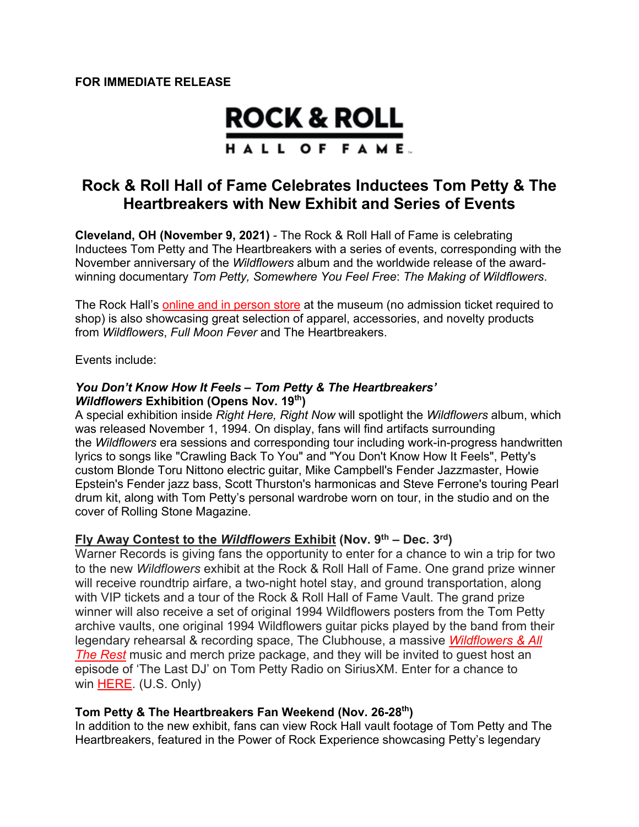# **ROCK & ROLL** HALL OF FAME.

# **Rock & Roll Hall of Fame Celebrates Inductees Tom Petty & The Heartbreakers with New Exhibit and Series of Events**

**Cleveland, OH (November 9, 2021)** - The Rock & Roll Hall of Fame is celebrating Inductees Tom Petty and The Heartbreakers with a series of events, corresponding with the November anniversary of the *Wildflowers* album and the worldwide release of the awardwinning documentary *Tom Petty, Somewhere You Feel Free*: *The Making of Wildflowers*.

The Rock Hall's online and in person store at the museum (no admission ticket required to shop) is also showcasing great selection of apparel, accessories, and novelty products from *Wildflowers*, *Full Moon Fever* and The Heartbreakers.

Events include:

#### *You Don't Know How It Feels – Tom Petty & The Heartbreakers' Wildflowers* **Exhibition (Opens Nov. 19th)**

A special exhibition inside *Right Here, Right Now* will spotlight the *Wildflowers* album, which was released November 1, 1994. On display, fans will find artifacts surrounding the *Wildflowers* era sessions and corresponding tour including work-in-progress handwritten lyrics to songs like "Crawling Back To You" and "You Don't Know How It Feels", Petty's custom Blonde Toru Nittono electric guitar, Mike Campbell's Fender Jazzmaster, Howie Epstein's Fender jazz bass, Scott Thurston's harmonicas and Steve Ferrone's touring Pearl drum kit, along with Tom Petty's personal wardrobe worn on tour, in the studio and on the cover of Rolling Stone Magazine.

### **Fly Away Contest to the** *Wildflowers* **Exhibit (Nov. 9th – Dec. 3rd)**

Warner Records is giving fans the opportunity to enter for a chance to win a trip for two to the new *Wildflowers* exhibit at the Rock & Roll Hall of Fame. One grand prize winner will receive roundtrip airfare, a two-night hotel stay, and ground transportation, along with VIP tickets and a tour of the Rock & Roll Hall of Fame Vault. The grand prize winner will also receive a set of original 1994 Wildflowers posters from the Tom Petty archive vaults, one original 1994 Wildflowers guitar picks played by the band from their legendary rehearsal & recording space, The Clubhouse, a massive *Wildflowers & All The Rest* music and merch prize package, and they will be invited to guest host an episode of 'The Last DJ' on Tom Petty Radio on SiriusXM. Enter for a chance to win HERE. (U.S. Only)

#### **Tom Petty & The Heartbreakers Fan Weekend (Nov. 26-28th)**

In addition to the new exhibit, fans can view Rock Hall vault footage of Tom Petty and The Heartbreakers, featured in the Power of Rock Experience showcasing Petty's legendary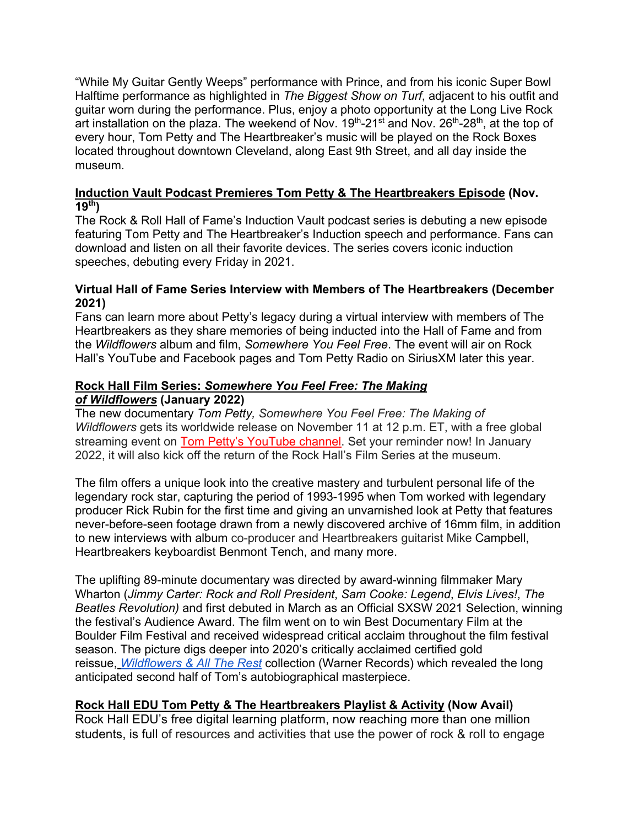"While My Guitar Gently Weeps" performance with Prince, and from his iconic Super Bowl Halftime performance as highlighted in *The Biggest Show on Turf*, adjacent to his outfit and guitar worn during the performance. Plus, enjoy a photo opportunity at the Long Live Rock art installation on the plaza. The weekend of Nov.  $19<sup>th</sup>$ -21<sup>st</sup> and Nov.  $26<sup>th</sup>$ -28<sup>th</sup>, at the top of every hour, Tom Petty and The Heartbreaker's music will be played on the Rock Boxes located throughout downtown Cleveland, along East 9th Street, and all day inside the museum.

### **Induction Vault Podcast Premieres Tom Petty & The Heartbreakers Episode (Nov. 19th)**

The Rock & Roll Hall of Fame's Induction Vault podcast series is debuting a new episode featuring Tom Petty and The Heartbreaker's Induction speech and performance. Fans can download and listen on all their favorite devices. The series covers iconic induction speeches, debuting every Friday in 2021.

#### **Virtual Hall of Fame Series Interview with Members of The Heartbreakers (December 2021)**

Fans can learn more about Petty's legacy during a virtual interview with members of The Heartbreakers as they share memories of being inducted into the Hall of Fame and from the *Wildflowers* album and film, *Somewhere You Feel Free*. The event will air on Rock Hall's YouTube and Facebook pages and Tom Petty Radio on SiriusXM later this year.

### **Rock Hall Film Series:** *Somewhere You Feel Free: The Making of Wildflowers* **(January 2022)**

The new documentary *Tom Petty, Somewhere You Feel Free: The Making of Wildflowers* gets its worldwide release on November 11 at 12 p.m. ET, with a free global streaming event on Tom Petty's YouTube channel. Set your reminder now! In January 2022, it will also kick off the return of the Rock Hall's Film Series at the museum.

The film offers a unique look into the creative mastery and turbulent personal life of the legendary rock star, capturing the period of 1993-1995 when Tom worked with legendary producer Rick Rubin for the first time and giving an unvarnished look at Petty that features never-before-seen footage drawn from a newly discovered archive of 16mm film, in addition to new interviews with album co-producer and Heartbreakers guitarist Mike Campbell, Heartbreakers keyboardist Benmont Tench, and many more.

The uplifting 89-minute documentary was directed by award-winning filmmaker Mary Wharton (*Jimmy Carter: Rock and Roll President*, *Sam Cooke: Legend*, *Elvis Lives!*, *The Beatles Revolution)* and first debuted in March as an Official SXSW 2021 Selection, winning the festival's Audience Award. The film went on to win Best Documentary Film at the Boulder Film Festival and received widespread critical acclaim throughout the film festival season. The picture digs deeper into 2020's critically acclaimed certified gold reissue, *Wildflowers & All The Rest* collection (Warner Records) which revealed the long anticipated second half of Tom's autobiographical masterpiece.

# **Rock Hall EDU Tom Petty & The Heartbreakers Playlist & Activity (Now Avail)**

Rock Hall EDU's free digital learning platform, now reaching more than one million students, is full of resources and activities that use the power of rock & roll to engage